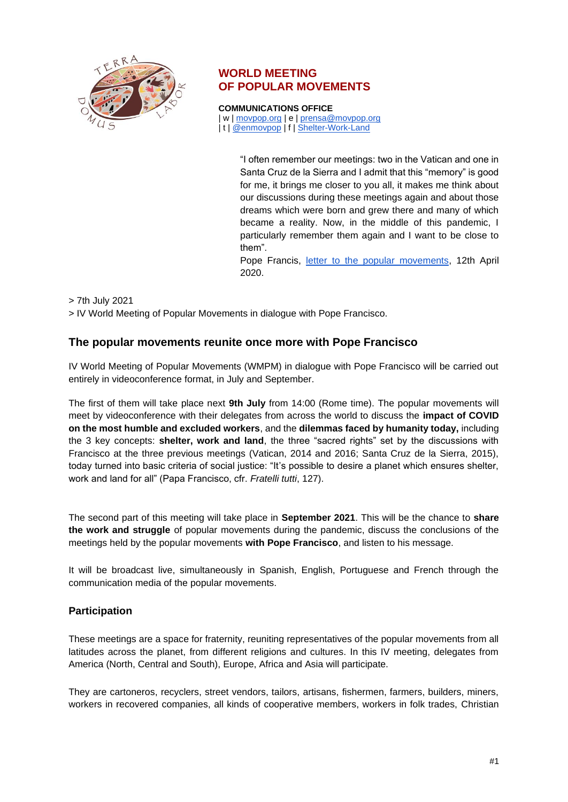

# **WORLD MEETING OF POPULAR MOVEMENTS**

**COMMUNICATIONS OFFICE**

| w | [movpop.org](http://www.movpop.org/) | e | [prensa@movpop.org](mailto:prensa@movpop.org) | t | [@enmovpop](https://twitter.com/enmovpop) | f | [Shelter-Work-Land](https://www.facebook.com/Encuentro-Mundial-Movimientos-Populares-Tierra-Techo-Trabajo-1502545013320097/)

> "I often remember our meetings: two in the Vatican and one in Santa Cruz de la Sierra and I admit that this "memory" is good for me, it brings me closer to you all, it makes me think about our discussions during these meetings again and about those dreams which were born and grew there and many of which became a reality. Now, in the middle of this pandemic, I particularly remember them again and I want to be close to them".

> Pope Francis, [letter to the popular movements,](https://www.vatican.va/content/francesco/en/letters/2020/documents/papa-francesco_20200412_lettera-movimentipopolari.html) 12th April 2020.

> 7th July 2021

> IV World Meeting of Popular Movements in dialogue with Pope Francisco.

### **The popular movements reunite once more with Pope Francisco**

IV World Meeting of Popular Movements (WMPM) in dialogue with Pope Francisco will be carried out entirely in videoconference format, in July and September.

The first of them will take place next **9th July** from 14:00 (Rome time). The popular movements will meet by videoconference with their delegates from across the world to discuss the **impact of COVID on the most humble and excluded workers**, and the **dilemmas faced by humanity today,** including the 3 key concepts: **shelter, work and land**, the three "sacred rights" set by the discussions with Francisco at the three previous meetings (Vatican, 2014 and 2016; Santa Cruz de la Sierra, 2015), today turned into basic criteria of social justice: "It's possible to desire a planet which ensures shelter, work and land for all" (Papa Francisco, cfr. *Fratelli tutti*, 127).

The second part of this meeting will take place in **September 2021**. This will be the chance to **share the work and struggle** of popular movements during the pandemic, discuss the conclusions of the meetings held by the popular movements **with Pope Francisco**, and listen to his message.

It will be broadcast live, simultaneously in Spanish, English, Portuguese and French through the communication media of the popular movements.

### **Participation**

These meetings are a space for fraternity, reuniting representatives of the popular movements from all latitudes across the planet, from different religions and cultures. In this IV meeting, delegates from America (North, Central and South), Europe, Africa and Asia will participate.

They are cartoneros, recyclers, street vendors, tailors, artisans, fishermen, farmers, builders, miners, workers in recovered companies, all kinds of cooperative members, workers in folk trades, Christian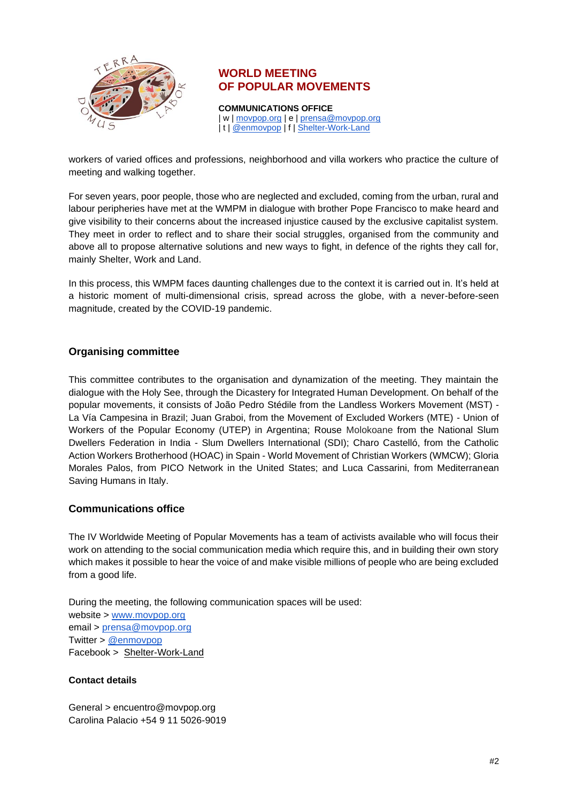

## **WORLD MEETING OF POPULAR MOVEMENTS**

**COMMUNICATIONS OFFICE** | w | [movpop.org](http://www.movpop.org/) | e | [prensa@movpop.org](mailto:prensa@movpop.org) | t | [@enmovpop](https://twitter.com/enmovpop) | f | [Shelter-Work-Land](https://www.facebook.com/Encuentro-Mundial-Movimientos-Populares-Tierra-Techo-Trabajo-1502545013320097/)

workers of varied offices and professions, neighborhood and villa workers who practice the culture of meeting and walking together.

For seven years, poor people, those who are neglected and excluded, coming from the urban, rural and labour peripheries have met at the WMPM in dialogue with brother Pope Francisco to make heard and give visibility to their concerns about the increased injustice caused by the exclusive capitalist system. They meet in order to reflect and to share their social struggles, organised from the community and above all to propose alternative solutions and new ways to fight, in defence of the rights they call for, mainly Shelter, Work and Land.

In this process, this WMPM faces daunting challenges due to the context it is carried out in. It's held at a historic moment of multi-dimensional crisis, spread across the globe, with a never-before-seen magnitude, created by the COVID-19 pandemic.

### **Organising committee**

This committee contributes to the organisation and dynamization of the meeting. They maintain the dialogue with the Holy See, through the Dicastery for Integrated Human Development. On behalf of the popular movements, it consists of João Pedro Stédile from the Landless Workers Movement (MST) - La Vía Campesina in Brazil; Juan Graboi, from the Movement of Excluded Workers (MTE) - Union of Workers of the Popular Economy (UTEP) in Argentina; Rouse Molokoane from the National Slum Dwellers Federation in India - Slum Dwellers International (SDI); Charo Castelló, from the Catholic Action Workers Brotherhood (HOAC) in Spain - World Movement of Christian Workers (WMCW); Gloria Morales Palos, from PICO Network in the United States; and Luca Cassarini, from Mediterranean Saving Humans in Italy.

### **Communications office**

The IV Worldwide Meeting of Popular Movements has a team of activists available who will focus their work on attending to the social communication media which require this, and in building their own story which makes it possible to hear the voice of and make visible millions of people who are being excluded from a good life.

During the meeting, the following communication spaces will be used: website > [www.movpop.org](http://www.movpop.org/) email > [prensa@movpop.org](mailto:prensa@movpop.org) Twitter > [@enmovpop](https://twitter.com/enmovpop) Facebook > Shelter-Work-Land

### **Contact details**

General > encuentro@movpop.org Carolina Palacio +54 9 11 5026-9019